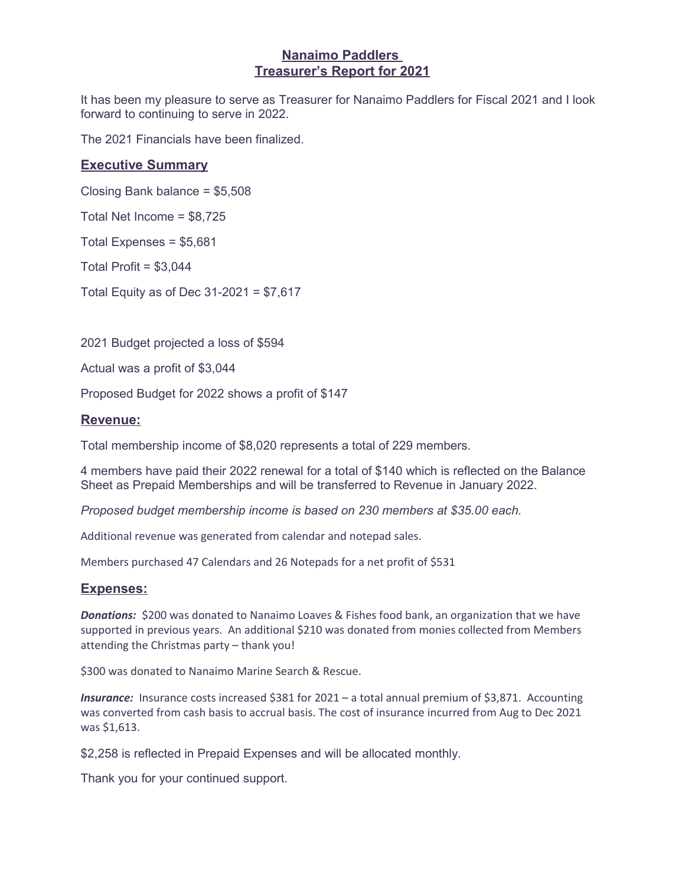#### **Nanaimo Paddlers Treasurer's Report for 2021**

It has been my pleasure to serve as Treasurer for Nanaimo Paddlers for Fiscal 2021 and I look forward to continuing to serve in 2022.

The 2021 Financials have been finalized.

### **Executive Summary**

Closing Bank balance = \$5,508

Total Net Income = \$8,725

Total Expenses = \$5,681

Total Profit =  $$3,044$ 

Total Equity as of Dec 31-2021 = \$7,617

2021 Budget projected a loss of \$594

Actual was a profit of \$3,044

Proposed Budget for 2022 shows a profit of \$147

#### **Revenue:**

Total membership income of \$8,020 represents a total of 229 members.

4 members have paid their 2022 renewal for a total of \$140 which is reflected on the Balance Sheet as Prepaid Memberships and will be transferred to Revenue in January 2022.

*Proposed budget membership income is based on 230 members at \$35.00 each.*

Additional revenue was generated from calendar and notepad sales.

Members purchased 47 Calendars and 26 Notepads for a net profit of \$531

#### **Expenses:**

**Donations:** \$200 was donated to Nanaimo Loaves & Fishes food bank, an organization that we have supported in previous years. An additional \$210 was donated from monies collected from Members attending the Christmas party – thank you!

\$300 was donated to Nanaimo Marine Search & Rescue.

*Insurance:* Insurance costs increased \$381 for 2021 – a total annual premium of \$3,871. Accounting was converted from cash basis to accrual basis. The cost of insurance incurred from Aug to Dec 2021 was \$1,613.

\$2,258 is reflected in Prepaid Expenses and will be allocated monthly.

Thank you for your continued support.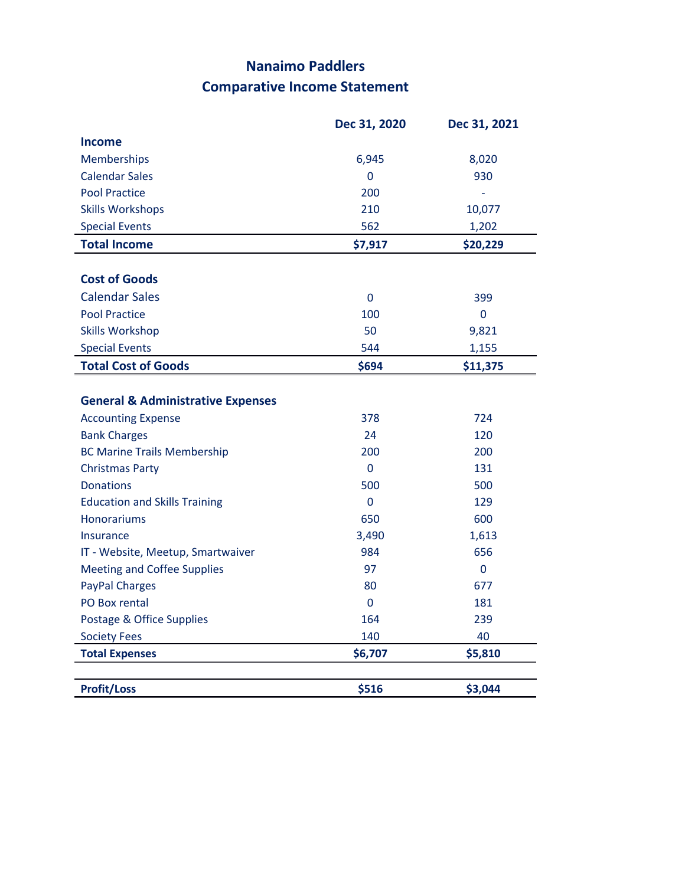## **Nanaimo Paddlers Comparative Income Statement**

|                                              | Dec 31, 2020 | Dec 31, 2021   |
|----------------------------------------------|--------------|----------------|
| Income                                       |              |                |
| Memberships                                  | 6,945        | 8,020          |
| <b>Calendar Sales</b>                        | $\Omega$     | 930            |
| <b>Pool Practice</b>                         | 200          | ÷,             |
| <b>Skills Workshops</b>                      | 210          | 10,077         |
| <b>Special Events</b>                        | 562          | 1,202          |
| <b>Total Income</b>                          | \$7,917      | \$20,229       |
| <b>Cost of Goods</b>                         |              |                |
| <b>Calendar Sales</b>                        | $\mathbf{0}$ | 399            |
| <b>Pool Practice</b>                         | 100          | $\overline{0}$ |
| <b>Skills Workshop</b>                       | 50           | 9,821          |
| <b>Special Events</b>                        | 544          | 1,155          |
| <b>Total Cost of Goods</b>                   | \$694        | \$11,375       |
| <b>Accounting Expense</b>                    | 378          | 724            |
| <b>General &amp; Administrative Expenses</b> |              |                |
| <b>Bank Charges</b>                          | 24           | 120            |
| <b>BC Marine Trails Membership</b>           | 200          | 200            |
| <b>Christmas Party</b>                       | $\mathbf{0}$ | 131            |
| <b>Donations</b>                             | 500          | 500            |
| <b>Education and Skills Training</b>         | $\mathbf{0}$ | 129            |
| <b>Honorariums</b>                           | 650          | 600            |
| <b>Insurance</b>                             | 3,490        | 1,613          |
| IT - Website, Meetup, Smartwaiver            | 984          | 656            |
| <b>Meeting and Coffee Supplies</b>           | 97           | $\mathbf{0}$   |
| <b>PayPal Charges</b>                        | 80           | 677            |
| PO Box rental                                | $\mathbf{0}$ | 181            |
| Postage & Office Supplies                    | 164          | 239            |
| <b>Society Fees</b>                          | 140          | 40             |
| <b>Total Expenses</b>                        | \$6,707      | \$5,810        |
| <b>Profit/Loss</b>                           | \$516        | \$3,044        |
|                                              |              |                |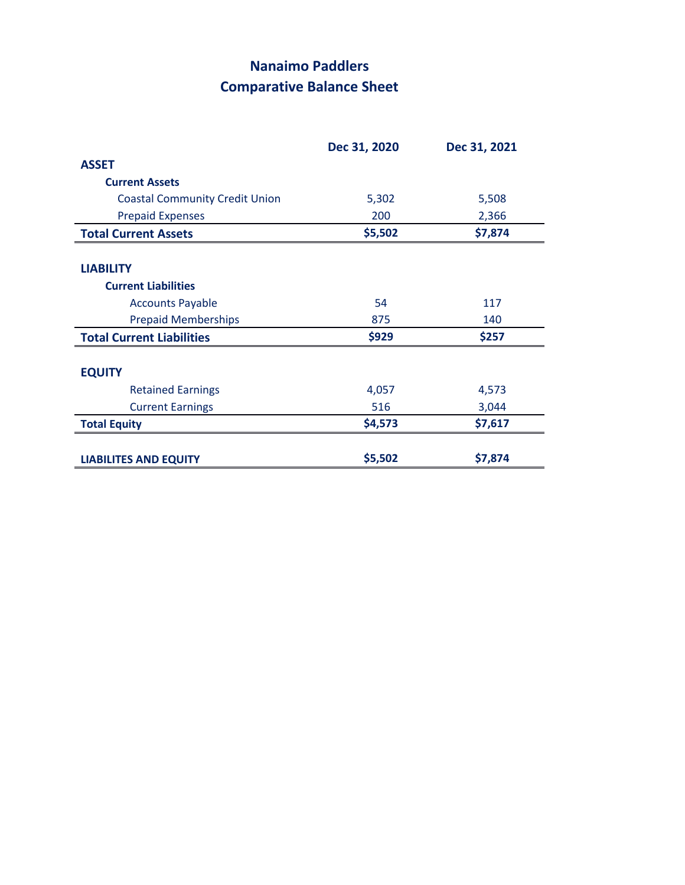## **Nanaimo Paddlers Comparative Balance Sheet**

|                                       | Dec 31, 2020 | Dec 31, 2021 |
|---------------------------------------|--------------|--------------|
| <b>ASSET</b>                          |              |              |
| <b>Current Assets</b>                 |              |              |
| <b>Coastal Community Credit Union</b> | 5,302        | 5,508        |
| <b>Prepaid Expenses</b>               | 200          | 2,366        |
| <b>Total Current Assets</b>           | \$5,502      | \$7,874      |
| <b>LIABILITY</b>                      |              |              |
| <b>Current Liabilities</b>            |              |              |
| <b>Accounts Payable</b>               | 54           | 117          |
| <b>Prepaid Memberships</b>            | 875          | 140          |
| <b>Total Current Liabilities</b>      | \$929        | \$257        |
| <b>EQUITY</b>                         |              |              |
| <b>Retained Earnings</b>              | 4,057        | 4,573        |
| <b>Current Earnings</b>               | 516          | 3,044        |
| <b>Total Equity</b>                   | \$4,573      | \$7,617      |
| <b>LIABILITES AND EQUITY</b>          | \$5,502      | \$7,874      |